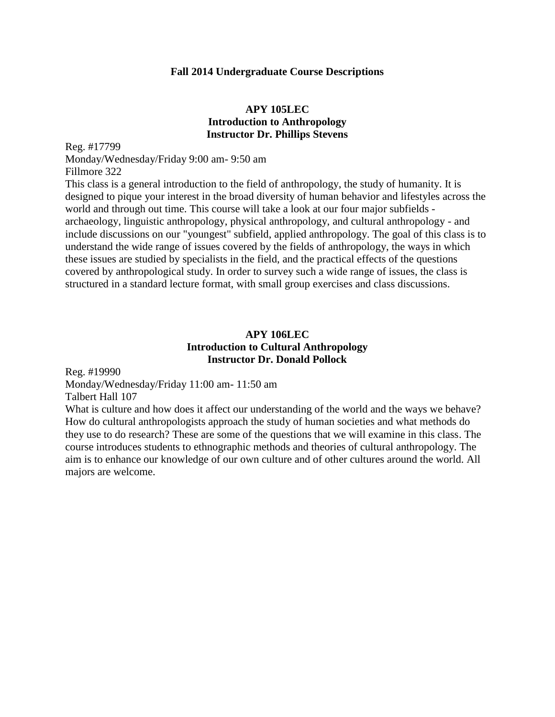#### **Fall 2014 Undergraduate Course Descriptions**

### **APY 105LEC Introduction to Anthropology Instructor Dr. Phillips Stevens**

Reg. #17799 Monday/Wednesday/Friday 9:00 am- 9:50 am Fillmore 322 This class is a general introduction to the field of anthropology, the study of humanity. It is

designed to pique your interest in the broad diversity of human behavior and lifestyles across the world and through out time. This course will take a look at our four major subfields archaeology, linguistic anthropology, physical anthropology, and cultural anthropology - and include discussions on our "youngest" subfield, applied anthropology. The goal of this class is to understand the wide range of issues covered by the fields of anthropology, the ways in which these issues are studied by specialists in the field, and the practical effects of the questions covered by anthropological study. In order to survey such a wide range of issues, the class is structured in a standard lecture format, with small group exercises and class discussions.

## **APY 106LEC Introduction to Cultural Anthropology Instructor Dr. Donald Pollock**

Reg. #19990

Monday/Wednesday/Friday 11:00 am- 11:50 am Talbert Hall 107

What is culture and how does it affect our understanding of the world and the ways we behave? How do cultural anthropologists approach the study of human societies and what methods do they use to do research? These are some of the questions that we will examine in this class. The course introduces students to ethnographic methods and theories of cultural anthropology. The aim is to enhance our knowledge of our own culture and of other cultures around the world. All majors are welcome.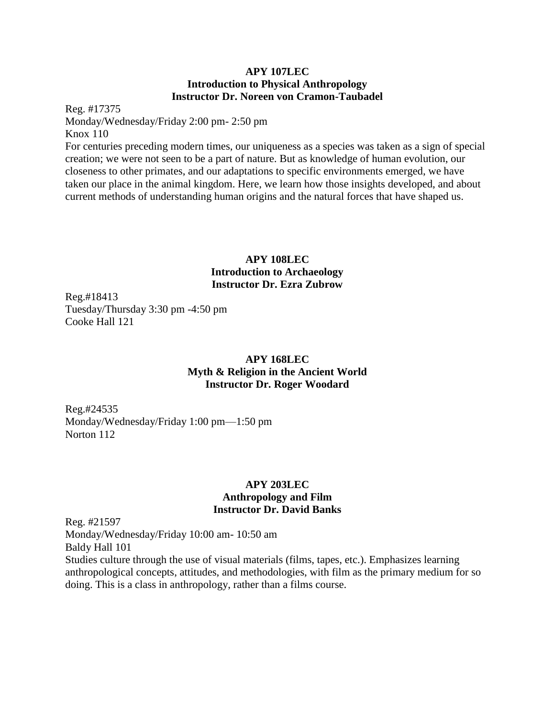#### **APY 107LEC Introduction to Physical Anthropology Instructor Dr. Noreen von Cramon-Taubadel**

Reg. #17375 Monday/Wednesday/Friday 2:00 pm- 2:50 pm Knox 110 For centuries preceding modern times, our uniqueness as a species was taken as a sign of special creation; we were not seen to be a part of nature. But as knowledge of human evolution, our closeness to other primates, and our adaptations to specific environments emerged, we have taken our place in the animal kingdom. Here, we learn how those insights developed, and about current methods of understanding human origins and the natural forces that have shaped us.

## **APY 108LEC Introduction to Archaeology Instructor Dr. Ezra Zubrow**

Reg.#18413 Tuesday/Thursday 3:30 pm -4:50 pm Cooke Hall 121

## **APY 168LEC Myth & Religion in the Ancient World Instructor Dr. Roger Woodard**

Reg.#24535 Monday/Wednesday/Friday 1:00 pm—1:50 pm Norton 112

## **APY 203LEC Anthropology and Film Instructor Dr. David Banks**

Reg. #21597 Monday/Wednesday/Friday 10:00 am- 10:50 am Baldy Hall 101 Studies culture through the use of visual materials (films, tapes, etc.). Emphasizes learning anthropological concepts, attitudes, and methodologies, with film as the primary medium for so doing. This is a class in anthropology, rather than a films course.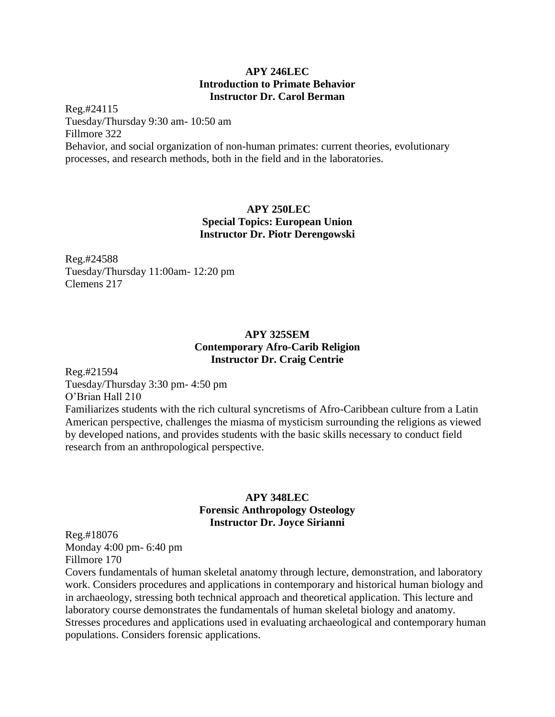### **APY 246LEC Introduction to Primate Behavior Instructor Dr. Carol Berman**

Reg.#24115 Tuesday/Thursday 9:30 am- 10:50 am Fillmore 322 Behavior, and social organization of non-human primates: current theories, evolutionary processes, and research methods, both in the field and in the laboratories.

## **APY 250LEC Special Topics: European Union Instructor Dr. Piotr Derengowski**

Reg.#24588 Tuesday/Thursday 11:00am- 12:20 pm Clemens 217

## **APY 325SEM Contemporary Afro-Carib Religion Instructor Dr. Craig Centrie**

Reg.#21594

Tuesday/Thursday 3:30 pm- 4:50 pm O'Brian Hall 210

Familiarizes students with the rich cultural syncretisms of Afro-Caribbean culture from a Latin American perspective, challenges the miasma of mysticism surrounding the religions as viewed by developed nations, and provides students with the basic skills necessary to conduct field research from an anthropological perspective.

## **APY 348LEC Forensic Anthropology Osteology Instructor Dr. Joyce Sirianni**

Reg.#18076 Monday 4:00 pm- 6:40 pm Fillmore 170

Covers fundamentals of human skeletal anatomy through lecture, demonstration, and laboratory work. Considers procedures and applications in contemporary and historical human biology and in archaeology, stressing both technical approach and theoretical application. This lecture and laboratory course demonstrates the fundamentals of human skeletal biology and anatomy. Stresses procedures and applications used in evaluating archaeological and contemporary human populations. Considers forensic applications.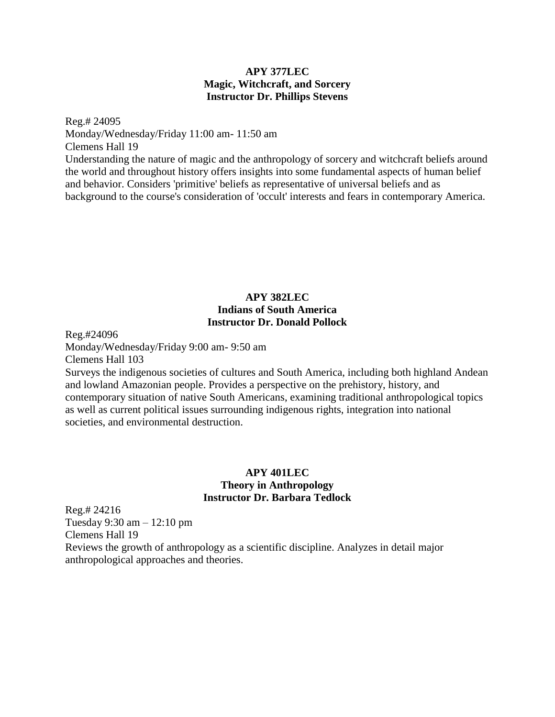### **APY 377LEC Magic, Witchcraft, and Sorcery Instructor Dr. Phillips Stevens**

Reg.# 24095 Monday/Wednesday/Friday 11:00 am- 11:50 am Clemens Hall 19 Understanding the nature of magic and the anthropology of sorcery and witchcraft beliefs around the world and throughout history offers insights into some fundamental aspects of human belief and behavior. Considers 'primitive' beliefs as representative of universal beliefs and as background to the course's consideration of 'occult' interests and fears in contemporary America.

## **APY 382LEC Indians of South America Instructor Dr. Donald Pollock**

Reg.#24096

Monday/Wednesday/Friday 9:00 am- 9:50 am

Clemens Hall 103

Surveys the indigenous societies of cultures and South America, including both highland Andean and lowland Amazonian people. Provides a perspective on the prehistory, history, and contemporary situation of native South Americans, examining traditional anthropological topics as well as current political issues surrounding indigenous rights, integration into national societies, and environmental destruction.

### **APY 401LEC Theory in Anthropology Instructor Dr. Barbara Tedlock**

Reg.# 24216 Tuesday 9:30 am – 12:10 pm Clemens Hall 19 Reviews the growth of anthropology as a scientific discipline. Analyzes in detail major anthropological approaches and theories.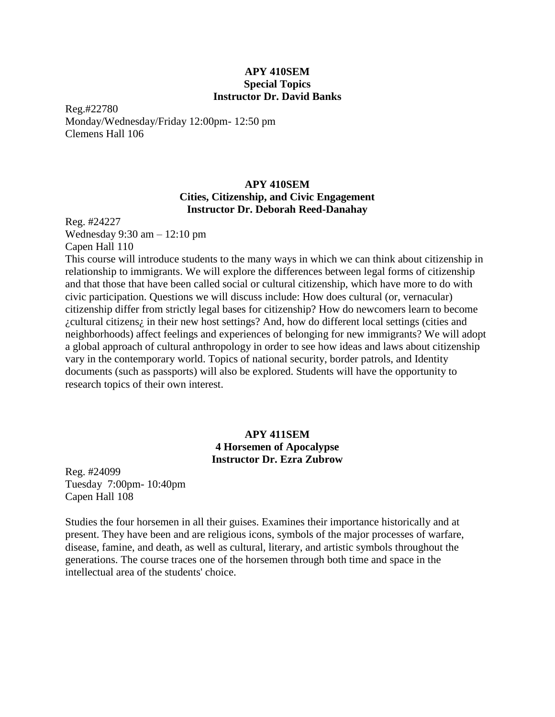#### **APY 410SEM Special Topics Instructor Dr. David Banks**

Reg.#22780 Monday/Wednesday/Friday 12:00pm- 12:50 pm Clemens Hall 106

### **APY 410SEM Cities, Citizenship, and Civic Engagement Instructor Dr. Deborah Reed-Danahay**

Reg. #24227 Wednesday 9:30 am – 12:10 pm Capen Hall 110

This course will introduce students to the many ways in which we can think about citizenship in relationship to immigrants. We will explore the differences between legal forms of citizenship and that those that have been called social or cultural citizenship, which have more to do with civic participation. Questions we will discuss include: How does cultural (or, vernacular) citizenship differ from strictly legal bases for citizenship? How do newcomers learn to become ¿cultural citizens¿ in their new host settings? And, how do different local settings (cities and neighborhoods) affect feelings and experiences of belonging for new immigrants? We will adopt a global approach of cultural anthropology in order to see how ideas and laws about citizenship vary in the contemporary world. Topics of national security, border patrols, and Identity documents (such as passports) will also be explored. Students will have the opportunity to research topics of their own interest.

## **APY 411SEM 4 Horsemen of Apocalypse Instructor Dr. Ezra Zubrow**

Reg. #24099 Tuesday 7:00pm- 10:40pm Capen Hall 108

Studies the four horsemen in all their guises. Examines their importance historically and at present. They have been and are religious icons, symbols of the major processes of warfare, disease, famine, and death, as well as cultural, literary, and artistic symbols throughout the generations. The course traces one of the horsemen through both time and space in the intellectual area of the students' choice.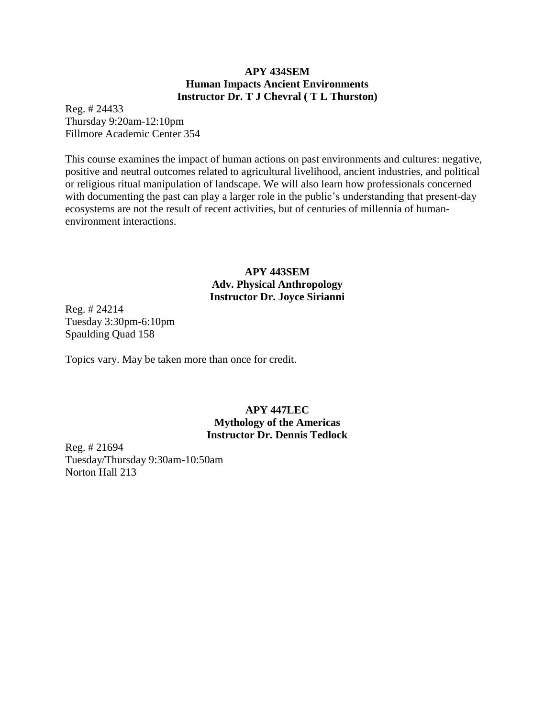### **APY 434SEM Human Impacts Ancient Environments Instructor Dr. T J Chevral ( T L Thurston)**

Reg. # 24433 Thursday 9:20am-12:10pm Fillmore Academic Center 354

This course examines the impact of human actions on past environments and cultures: negative, positive and neutral outcomes related to agricultural livelihood, ancient industries, and political or religious ritual manipulation of landscape. We will also learn how professionals concerned with documenting the past can play a larger role in the public's understanding that present-day ecosystems are not the result of recent activities, but of centuries of millennia of humanenvironment interactions.

## **APY 443SEM Adv. Physical Anthropology Instructor Dr. Joyce Sirianni**

Reg. # 24214 Tuesday 3:30pm-6:10pm Spaulding Quad 158

Topics vary. May be taken more than once for credit.

### **APY 447LEC Mythology of the Americas Instructor Dr. Dennis Tedlock**

Reg. # 21694 Tuesday/Thursday 9:30am-10:50am Norton Hall 213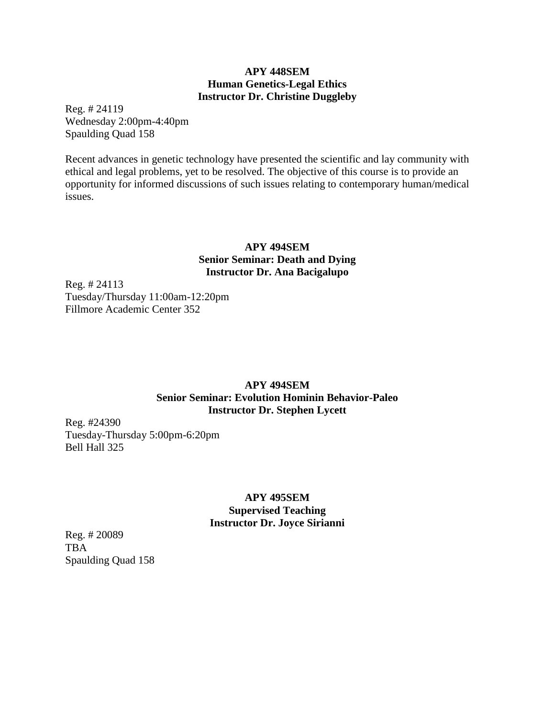### **APY 448SEM Human Genetics-Legal Ethics Instructor Dr. Christine Duggleby**

Reg. # 24119 Wednesday 2:00pm-4:40pm Spaulding Quad 158

Recent advances in genetic technology have presented the scientific and lay community with ethical and legal problems, yet to be resolved. The objective of this course is to provide an opportunity for informed discussions of such issues relating to contemporary human/medical issues.

## **APY 494SEM Senior Seminar: Death and Dying Instructor Dr. Ana Bacigalupo**

Reg. # 24113 Tuesday/Thursday 11:00am-12:20pm Fillmore Academic Center 352

## **APY 494SEM Senior Seminar: Evolution Hominin Behavior-Paleo Instructor Dr. Stephen Lycett**

Reg. #24390 Tuesday-Thursday 5:00pm-6:20pm Bell Hall 325

## **APY 495SEM Supervised Teaching Instructor Dr. Joyce Sirianni**

Reg. # 20089 TBA Spaulding Quad 158